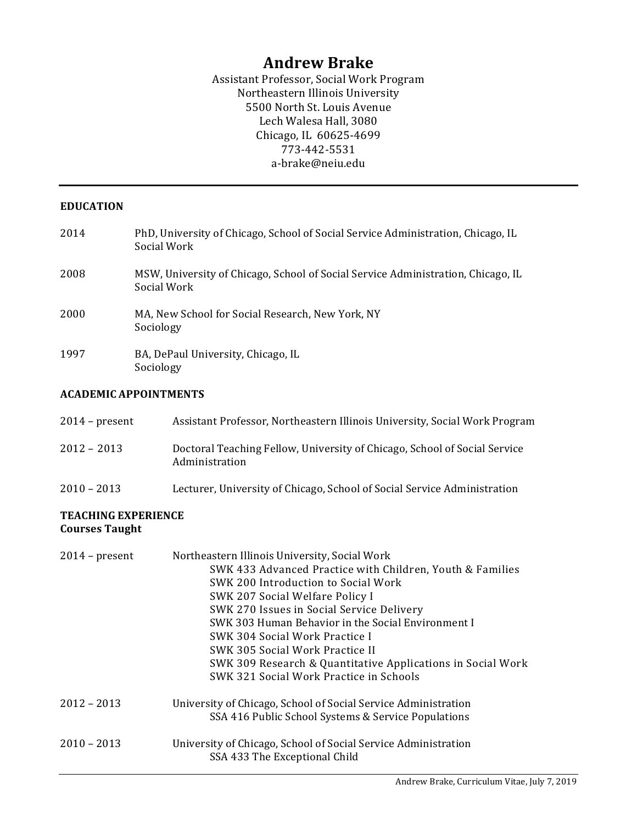# **Andrew Brake**

Assistant Professor, Social Work Program Northeastern Illinois University 5500 North St. Louis Avenue Lech Walesa Hall, 3080 Chicago, IL 60625-4699 773-442-5531 a-brake@neiu.edu

#### **EDUCATION**

| 2014 | PhD, University of Chicago, School of Social Service Administration, Chicago, IL<br>Social Work |
|------|-------------------------------------------------------------------------------------------------|
| 2008 | MSW, University of Chicago, School of Social Service Administration, Chicago, IL<br>Social Work |
| 2000 | MA, New School for Social Research, New York, NY<br>Sociology                                   |
| 1997 | BA, DePaul University, Chicago, IL<br>Sociology                                                 |

#### **ACADEMIC APPOINTMENTS**

| $2014$ – present | Assistant Professor, Northeastern Illinois University, Social Work Program                  |
|------------------|---------------------------------------------------------------------------------------------|
| $2012 - 2013$    | Doctoral Teaching Fellow, University of Chicago, School of Social Service<br>Administration |
| $2010 - 2013$    | Lecturer, University of Chicago, School of Social Service Administration                    |

## **TEACHING EXPERIENCE Courses Taught**

| $2014$ – present | Northeastern Illinois University, Social Work<br>SWK 433 Advanced Practice with Children, Youth & Families<br>SWK 200 Introduction to Social Work<br>SWK 207 Social Welfare Policy I<br>SWK 270 Issues in Social Service Delivery<br>SWK 303 Human Behavior in the Social Environment I<br>SWK 304 Social Work Practice I<br>SWK 305 Social Work Practice II<br>SWK 309 Research & Quantitative Applications in Social Work<br>SWK 321 Social Work Practice in Schools |
|------------------|------------------------------------------------------------------------------------------------------------------------------------------------------------------------------------------------------------------------------------------------------------------------------------------------------------------------------------------------------------------------------------------------------------------------------------------------------------------------|
| $2012 - 2013$    | University of Chicago, School of Social Service Administration<br>SSA 416 Public School Systems & Service Populations                                                                                                                                                                                                                                                                                                                                                  |
| $2010 - 2013$    | University of Chicago, School of Social Service Administration<br>SSA 433 The Exceptional Child                                                                                                                                                                                                                                                                                                                                                                        |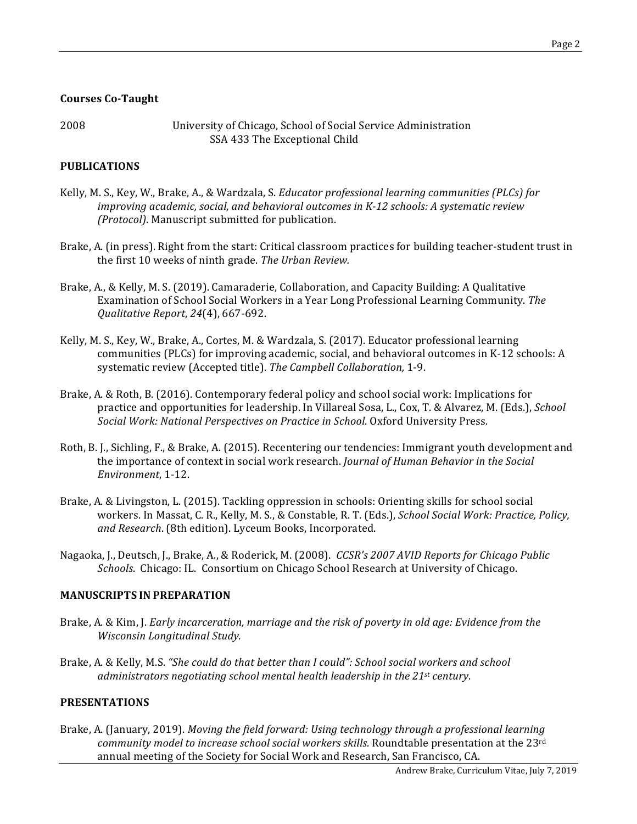## **Courses Co-Taught**

2008 **12008** University of Chicago, School of Social Service Administration SSA 433 The Exceptional Child

# **PUBLICATIONS**

- Kelly, M. S., Key, W., Brake, A., & Wardzala, S. *Educator professional learning communities (PLCs) for improving academic, social, and behavioral outcomes in K-12 schools: A systematic review (Protocol)*. Manuscript submitted for publication.
- Brake, A. (in press). Right from the start: Critical classroom practices for building teacher-student trust in the first 10 weeks of ninth grade. The Urban Review.
- Brake, A., & Kelly, M. S. (2019). Camaraderie, Collaboration, and Capacity Building: A Qualitative Examination of School Social Workers in a Year Long Professional Learning Community. The *Qualitative Report*, *24*(4), 667-692.
- Kelly, M. S., Key, W., Brake, A., Cortes, M. & Wardzala, S. (2017). Educator professional learning communities (PLCs) for improving academic, social, and behavioral outcomes in K-12 schools: A systematic review (Accepted title). The Campbell Collaboration, 1-9.
- Brake, A. & Roth, B. (2016). Contemporary federal policy and school social work: Implications for practice and opportunities for leadership. In Villareal Sosa, L., Cox, T. & Alvarez, M. (Eds.), *School* Social Work: National Perspectives on Practice in School. Oxford University Press.
- Roth, B. J., Sichling, F., & Brake, A. (2015). Recentering our tendencies: Immigrant youth development and the importance of context in social work research. *Journal of Human Behavior in the Social Environment*, 1-12.
- Brake, A. & Livingston, L. (2015). Tackling oppression in schools: Orienting skills for school social workers. In Massat, C. R., Kelly, M. S., & Constable, R. T. (Eds.), School Social Work: Practice, Policy, and Research. (8th edition). Lyceum Books, Incorporated.
- Nagaoka, J., Deutsch, J., Brake, A., & Roderick, M. (2008). *CCSR's 2007 AVID Reports for Chicago Public Schools*. Chicago: IL. Consortium on Chicago School Research at University of Chicago.

## **MANUSCRIPTS IN PREPARATION**

- Brake, A. & Kim, J. *Early incarceration, marriage and the risk of poverty in old age: Evidence from the Wisconsin Longitudinal Study.*
- Brake, A. & Kelly, M.S. "She could do that better than I could": School social workers and school *administrators negotiating school mental health leadership in the 21st century.*

#### **PRESENTATIONS**

Brake, A. (January, 2019). *Moving the field forward: Using technology through a professional learning community model to increase school social workers skills*. Roundtable presentation at the 23<sup>rd</sup> annual meeting of the Society for Social Work and Research, San Francisco, CA.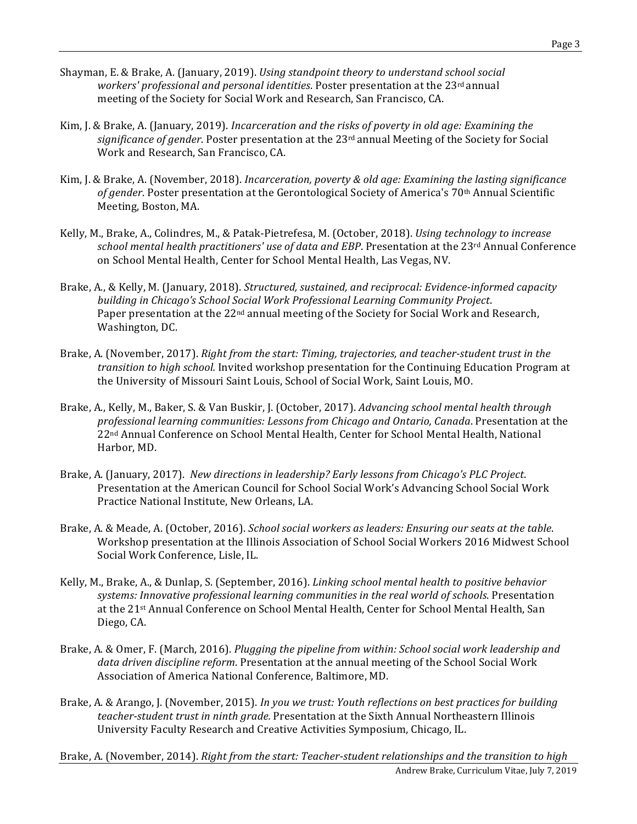- Shayman, E. & Brake, A. (January, 2019). *Using standpoint theory to understand school social* workers' professional and personal identities. Poster presentation at the 23<sup>rd</sup> annual meeting of the Society for Social Work and Research, San Francisco, CA.
- Kim, J. & Brake, A. (January, 2019). *Incarceration and the risks of poverty in old age: Examining the* significance of gender. Poster presentation at the 23<sup>rd</sup> annual Meeting of the Society for Social Work and Research, San Francisco, CA.
- Kim, J. & Brake, A. (November, 2018). *Incarceration, poverty & old age: Examining the lasting significance* of gender. Poster presentation at the Gerontological Society of America's 70<sup>th</sup> Annual Scientific Meeting, Boston, MA.
- Kelly, M., Brake, A., Colindres, M., & Patak-Pietrefesa, M. (October, 2018). *Using technology to increase school mental health practitioners' use of data and EBP*. Presentation at the 23<sup>rd</sup> Annual Conference on School Mental Health, Center for School Mental Health, Las Vegas, NV.
- Brake, A., & Kelly, M. (January, 2018). *Structured, sustained, and reciprocal: Evidence-informed capacity* building in Chicago's School Social Work Professional Learning Community Project. Paper presentation at the 22<sup>nd</sup> annual meeting of the Society for Social Work and Research, Washington, DC.
- Brake, A. (November, 2017). *Right from the start: Timing, trajectories, and teacher-student trust in the transition to high school.* Invited workshop presentation for the Continuing Education Program at the University of Missouri Saint Louis, School of Social Work, Saint Louis, MO.
- Brake, A., Kelly, M., Baker, S. & Van Buskir, J. (October, 2017). *Advancing school mental health through* professional learning communities: Lessons from Chicago and Ontario, Canada. Presentation at the 22<sup>nd</sup> Annual Conference on School Mental Health, Center for School Mental Health, National Harbor, MD.
- Brake, A. (January, 2017). *New directions in leadership? Early lessons from Chicago's PLC Project.* Presentation at the American Council for School Social Work's Advancing School Social Work Practice National Institute, New Orleans, LA.
- Brake, A. & Meade, A. (October, 2016). *School social workers as leaders: Ensuring our seats at the table.* Workshop presentation at the Illinois Association of School Social Workers 2016 Midwest School Social Work Conference, Lisle, IL.
- Kelly, M., Brake, A., & Dunlap, S. (September, 2016). *Linking school mental health to positive behavior* systems: Innovative professional learning communities in the real world of schools. Presentation at the 21st Annual Conference on School Mental Health, Center for School Mental Health, San Diego, CA.
- Brake, A. & Omer, F. (March, 2016). *Plugging the pipeline from within: School social work leadership and* data driven discipline *reform*. Presentation at the annual meeting of the School Social Work Association of America National Conference, Baltimore, MD.
- Brake, A. & Arango, J. (November, 2015). *In you we trust: Youth reflections on best practices for building teacher-student trust in ninth grade.* Presentation at the Sixth Annual Northeastern Illinois University Faculty Research and Creative Activities Symposium, Chicago, IL.
- Andrew Brake, Curriculum Vitae, July 7, 2019 Brake, A. (November, 2014). *Right from the start: Teacher-student relationships and the transition to high*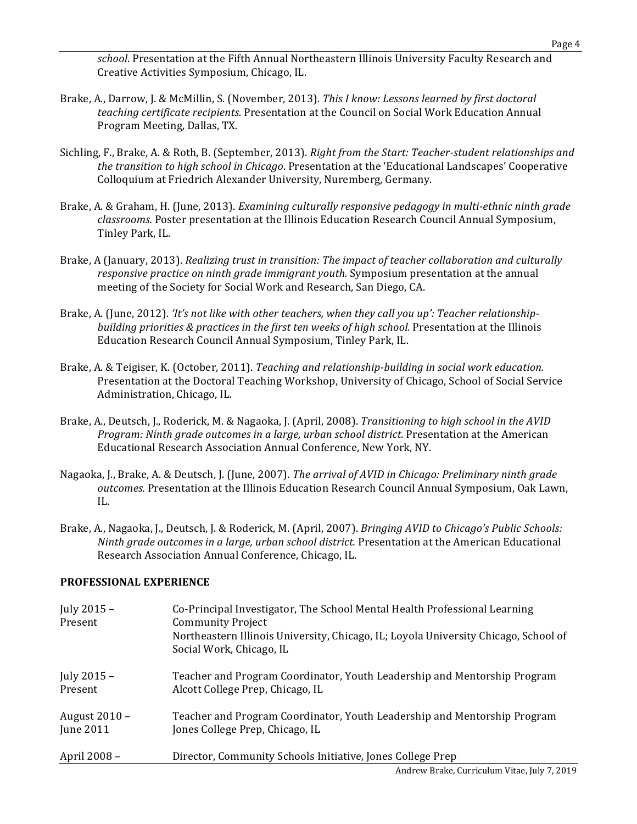school. Presentation at the Fifth Annual Northeastern Illinois University Faculty Research and Creative Activities Symposium, Chicago, IL.

- Brake, A., Darrow, J. & McMillin, S. (November, 2013). *This I know: Lessons learned by first doctoral teaching certificate recipients.* Presentation at the Council on Social Work Education Annual Program Meeting, Dallas, TX.
- Sichling, F., Brake, A. & Roth, B. (September, 2013). *Right from the Start: Teacher-student relationships and* the transition to high school in Chicago. Presentation at the 'Educational Landscapes' Cooperative Colloquium at Friedrich Alexander University, Nuremberg, Germany.
- Brake, A. & Graham, H. (June, 2013). *Examining culturally responsive pedagogy in multi-ethnic ninth grade classrooms.* Poster presentation at the Illinois Education Research Council Annual Symposium, Tinley Park, IL.
- Brake, A (January, 2013). *Realizing trust in transition: The impact of teacher collaboration and culturally* responsive practice on ninth grade immigrant youth. Symposium presentation at the annual meeting of the Society for Social Work and Research, San Diego, CA.
- Brake, A. (June, 2012). *'It's not like with other teachers, when they call you up': Teacher relationshipbuilding priorities & practices in the first ten weeks of high school.* Presentation at the Illinois Education Research Council Annual Symposium, Tinley Park, IL.
- Brake, A. & Teigiser, K. (October, 2011). *Teaching and relationship-building in social work education.* Presentation at the Doctoral Teaching Workshop, University of Chicago, School of Social Service Administration, Chicago, IL.
- Brake, A., Deutsch, J., Roderick, M. & Nagaoka, J. (April, 2008). *Transitioning to high school in the AVID* Program: Ninth grade outcomes in a large, urban school district. Presentation at the American Educational Research Association Annual Conference, New York, NY.
- Nagaoka, J., Brake, A. & Deutsch, J. (June, 2007). *The arrival of AVID in Chicago: Preliminary ninth grade outcomes.* Presentation at the Illinois Education Research Council Annual Symposium, Oak Lawn, IL.
- Brake, A., Nagaoka, J., Deutsch, J. & Roderick, M. (April, 2007). *Bringing AVID to Chicago's Public Schools: Ninth grade outcomes in a large, urban school district.* Presentation at the American Educational Research Association Annual Conference, Chicago, IL.

## **PROFESSIONAL EXPERIENCE**

| July $2015 -$ | Co-Principal Investigator, The School Mental Health Professional Learning           |
|---------------|-------------------------------------------------------------------------------------|
| Present       | <b>Community Project</b>                                                            |
|               | Northeastern Illinois University, Chicago, IL; Loyola University Chicago, School of |
|               | Social Work, Chicago, IL                                                            |
| July $2015 -$ | Teacher and Program Coordinator, Youth Leadership and Mentorship Program            |
| Present       | Alcott College Prep, Chicago, IL                                                    |
| August 2010 - | Teacher and Program Coordinator, Youth Leadership and Mentorship Program            |
| June 2011     | Jones College Prep, Chicago, IL                                                     |
| April 2008 -  | Director, Community Schools Initiative, Jones College Prep                          |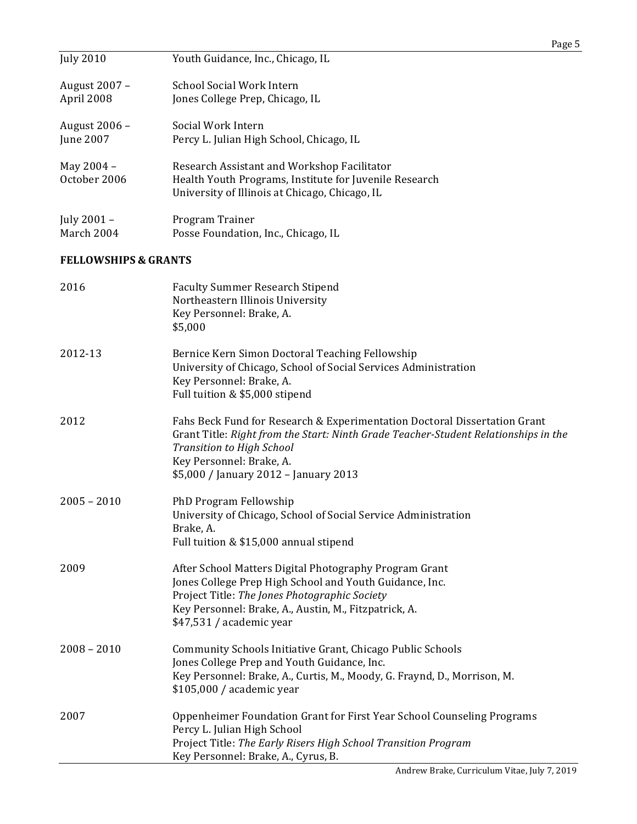|                                 |                                                                                                                                                                                                                                                                           | Page 5 |
|---------------------------------|---------------------------------------------------------------------------------------------------------------------------------------------------------------------------------------------------------------------------------------------------------------------------|--------|
| <b>July 2010</b>                | Youth Guidance, Inc., Chicago, IL                                                                                                                                                                                                                                         |        |
| August 2007 -<br>April 2008     | <b>School Social Work Intern</b><br>Jones College Prep, Chicago, IL                                                                                                                                                                                                       |        |
| August 2006 -<br>June 2007      | Social Work Intern<br>Percy L. Julian High School, Chicago, IL                                                                                                                                                                                                            |        |
| May 2004 -<br>October 2006      | Research Assistant and Workshop Facilitator<br>Health Youth Programs, Institute for Juvenile Research<br>University of Illinois at Chicago, Chicago, IL                                                                                                                   |        |
| July 2001 -<br>March 2004       | Program Trainer<br>Posse Foundation, Inc., Chicago, IL                                                                                                                                                                                                                    |        |
| <b>FELLOWSHIPS &amp; GRANTS</b> |                                                                                                                                                                                                                                                                           |        |
| 2016                            | <b>Faculty Summer Research Stipend</b><br>Northeastern Illinois University<br>Key Personnel: Brake, A.<br>\$5,000                                                                                                                                                         |        |
| 2012-13                         | Bernice Kern Simon Doctoral Teaching Fellowship<br>University of Chicago, School of Social Services Administration<br>Key Personnel: Brake, A.<br>Full tuition & \$5,000 stipend                                                                                          |        |
| 2012                            | Fahs Beck Fund for Research & Experimentation Doctoral Dissertation Grant<br>Grant Title: Right from the Start: Ninth Grade Teacher-Student Relationships in the<br><b>Transition to High School</b><br>Key Personnel: Brake, A.<br>\$5,000 / January 2012 - January 2013 |        |
| $2005 - 2010$                   | PhD Program Fellowship<br>University of Chicago, School of Social Service Administration<br>Brake, A.<br>Full tuition & \$15,000 annual stipend                                                                                                                           |        |
| 2009                            | After School Matters Digital Photography Program Grant<br>Jones College Prep High School and Youth Guidance, Inc.<br>Project Title: The Jones Photographic Society<br>Key Personnel: Brake, A., Austin, M., Fitzpatrick, A.<br>\$47,531 / academic year                   |        |
| $2008 - 2010$                   | Community Schools Initiative Grant, Chicago Public Schools<br>Jones College Prep and Youth Guidance, Inc.<br>Key Personnel: Brake, A., Curtis, M., Moody, G. Fraynd, D., Morrison, M.                                                                                     |        |

2007 Oppenheimer Foundation Grant for First Year School Counseling Programs Percy L. Julian High School Project Title: The Early Risers High School Transition Program Key Personnel: Brake, A., Cyrus, B.

\$105,000 / academic year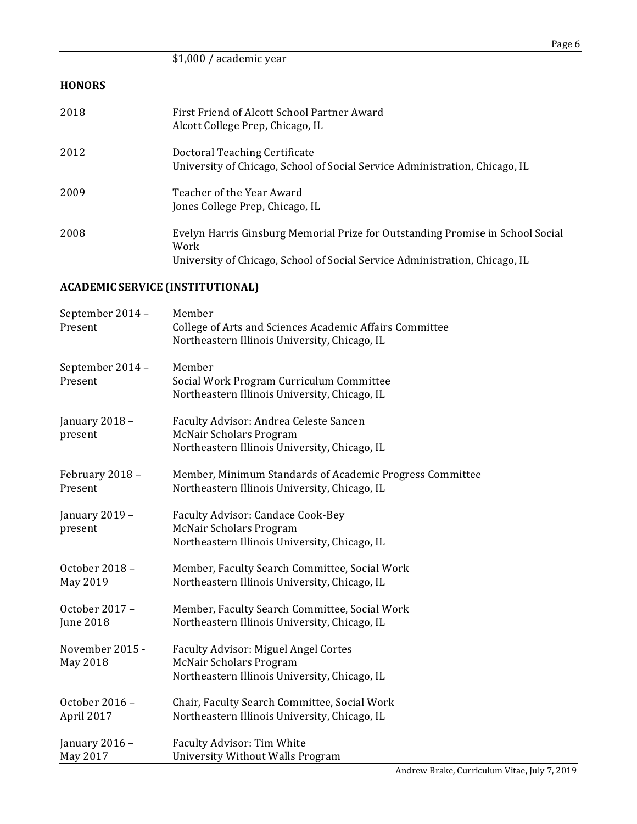|               |                                                                                                                                                                       | Page 6 |
|---------------|-----------------------------------------------------------------------------------------------------------------------------------------------------------------------|--------|
|               | \$1,000 / academic year                                                                                                                                               |        |
| <b>HONORS</b> |                                                                                                                                                                       |        |
| 2018          | First Friend of Alcott School Partner Award<br>Alcott College Prep, Chicago, IL                                                                                       |        |
| 2012          | Doctoral Teaching Certificate<br>University of Chicago, School of Social Service Administration, Chicago, IL                                                          |        |
| 2009          | Teacher of the Year Award<br>Jones College Prep, Chicago, IL                                                                                                          |        |
| 2008          | Evelyn Harris Ginsburg Memorial Prize for Outstanding Promise in School Social<br>Work<br>University of Chicago, School of Social Service Administration, Chicago, IL |        |

# **ACADEMIC SERVICE (INSTITUTIONAL)**

| September 2014 -<br>Present | Member<br>College of Arts and Sciences Academic Affairs Committee<br>Northeastern Illinois University, Chicago, IL             |
|-----------------------------|--------------------------------------------------------------------------------------------------------------------------------|
| September 2014 -<br>Present | Member<br>Social Work Program Curriculum Committee<br>Northeastern Illinois University, Chicago, IL                            |
| January 2018 -<br>present   | Faculty Advisor: Andrea Celeste Sancen<br><b>McNair Scholars Program</b><br>Northeastern Illinois University, Chicago, IL      |
| February 2018 -             | Member, Minimum Standards of Academic Progress Committee                                                                       |
| Present                     | Northeastern Illinois University, Chicago, IL                                                                                  |
| January 2019 -<br>present   | Faculty Advisor: Candace Cook-Bey<br><b>McNair Scholars Program</b><br>Northeastern Illinois University, Chicago, IL           |
| October 2018 -              | Member, Faculty Search Committee, Social Work                                                                                  |
| May 2019                    | Northeastern Illinois University, Chicago, IL                                                                                  |
| October 2017 -              | Member, Faculty Search Committee, Social Work                                                                                  |
| <b>June 2018</b>            | Northeastern Illinois University, Chicago, IL                                                                                  |
| November 2015 -<br>May 2018 | <b>Faculty Advisor: Miguel Angel Cortes</b><br><b>McNair Scholars Program</b><br>Northeastern Illinois University, Chicago, IL |
| October 2016 -              | Chair, Faculty Search Committee, Social Work                                                                                   |
| April 2017                  | Northeastern Illinois University, Chicago, IL                                                                                  |
| January 2016 -              | Faculty Advisor: Tim White                                                                                                     |
| May 2017                    | <b>University Without Walls Program</b>                                                                                        |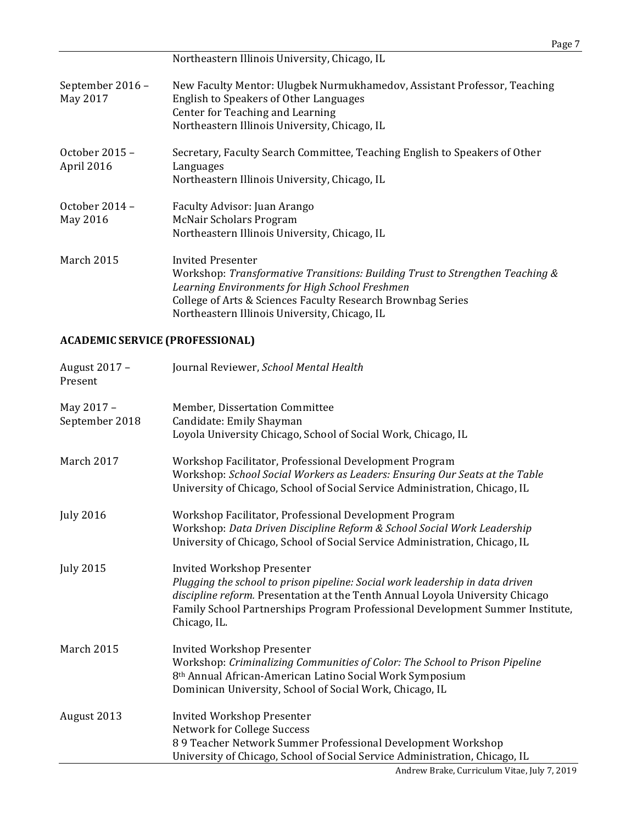|                              | Page 7                                                                                                                                                                                                                                                               |
|------------------------------|----------------------------------------------------------------------------------------------------------------------------------------------------------------------------------------------------------------------------------------------------------------------|
|                              | Northeastern Illinois University, Chicago, IL                                                                                                                                                                                                                        |
| September 2016 -<br>May 2017 | New Faculty Mentor: Ulugbek Nurmukhamedov, Assistant Professor, Teaching<br>English to Speakers of Other Languages<br>Center for Teaching and Learning<br>Northeastern Illinois University, Chicago, IL                                                              |
| October 2015 -<br>April 2016 | Secretary, Faculty Search Committee, Teaching English to Speakers of Other<br>Languages<br>Northeastern Illinois University, Chicago, IL                                                                                                                             |
| October $2014 -$<br>May 2016 | Faculty Advisor: Juan Arango<br>McNair Scholars Program<br>Northeastern Illinois University, Chicago, IL                                                                                                                                                             |
| <b>March 2015</b>            | Invited Presenter<br>Workshop: Transformative Transitions: Building Trust to Strengthen Teaching &<br>Learning Environments for High School Freshmen<br>College of Arts & Sciences Faculty Research Brownbag Series<br>Northeastern Illinois University, Chicago, IL |

# **ACADEMIC SERVICE (PROFESSIONAL)**

| August 2017 -<br>Present     | Journal Reviewer, School Mental Health                                                                                                                                                                                                                                                               |
|------------------------------|------------------------------------------------------------------------------------------------------------------------------------------------------------------------------------------------------------------------------------------------------------------------------------------------------|
| May 2017 -<br>September 2018 | Member, Dissertation Committee<br>Candidate: Emily Shayman<br>Loyola University Chicago, School of Social Work, Chicago, IL                                                                                                                                                                          |
| March 2017                   | Workshop Facilitator, Professional Development Program<br>Workshop: School Social Workers as Leaders: Ensuring Our Seats at the Table<br>University of Chicago, School of Social Service Administration, Chicago, IL                                                                                 |
| <b>July 2016</b>             | Workshop Facilitator, Professional Development Program<br>Workshop: Data Driven Discipline Reform & School Social Work Leadership<br>University of Chicago, School of Social Service Administration, Chicago, IL                                                                                     |
| <b>July 2015</b>             | <b>Invited Workshop Presenter</b><br>Plugging the school to prison pipeline: Social work leadership in data driven<br>discipline reform. Presentation at the Tenth Annual Loyola University Chicago<br>Family School Partnerships Program Professional Development Summer Institute,<br>Chicago, IL. |
| March 2015                   | <b>Invited Workshop Presenter</b><br>Workshop: Criminalizing Communities of Color: The School to Prison Pipeline<br>8th Annual African-American Latino Social Work Symposium<br>Dominican University, School of Social Work, Chicago, IL                                                             |
| August 2013                  | <b>Invited Workshop Presenter</b><br>Network for College Success<br>89 Teacher Network Summer Professional Development Workshop<br>University of Chicago, School of Social Service Administration, Chicago, IL<br>Androw Brake Curriculum Vitae July 7, 2010                                         |